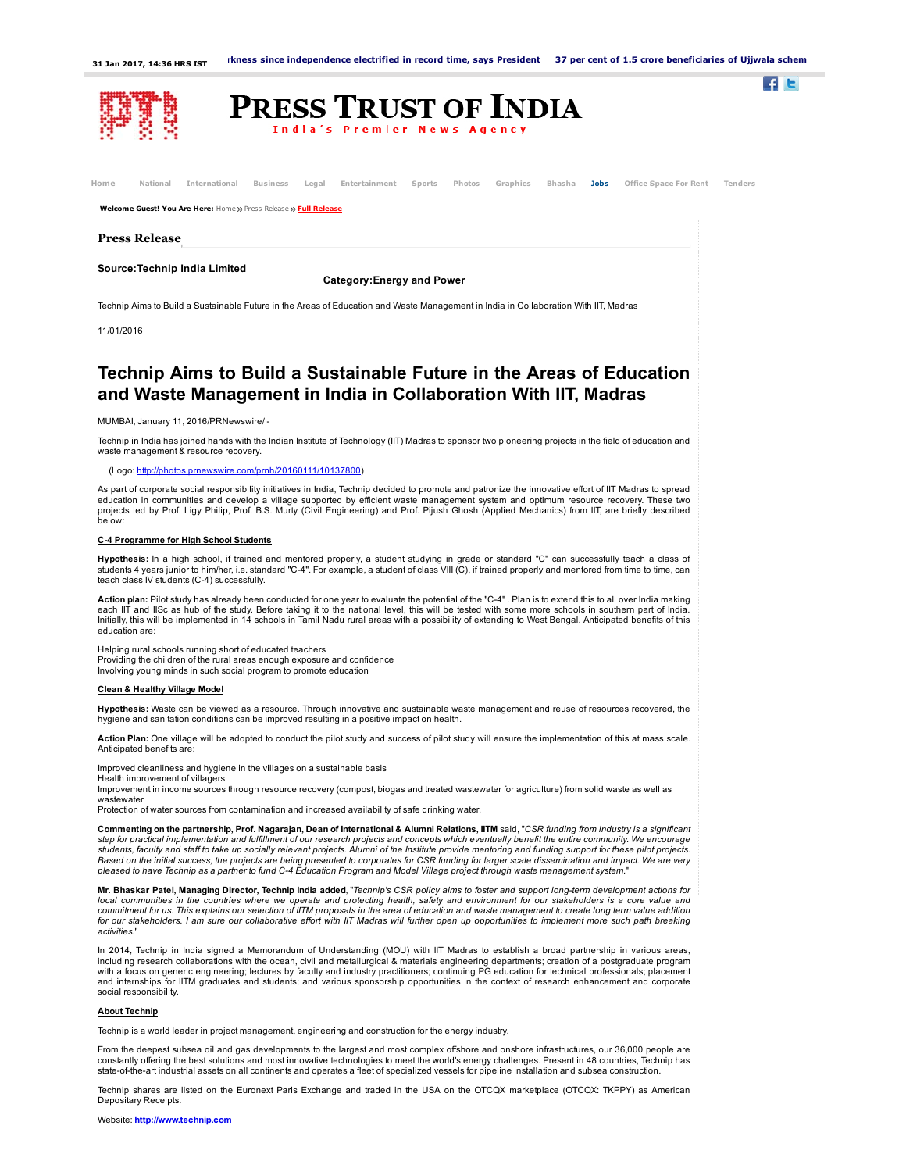$\blacksquare$ 



| National<br>Home                                                                                                                                                                                 | International<br><b>Business</b><br>Entertainment<br>Photos<br>Graphics<br>Bhasha<br>Legal<br>Sports                                                                                                                                                                                                                                                                                                                                                                                                                                                                                                                                                                                                                                                           | <b>Jobs</b><br>Office Space For Rent |
|--------------------------------------------------------------------------------------------------------------------------------------------------------------------------------------------------|----------------------------------------------------------------------------------------------------------------------------------------------------------------------------------------------------------------------------------------------------------------------------------------------------------------------------------------------------------------------------------------------------------------------------------------------------------------------------------------------------------------------------------------------------------------------------------------------------------------------------------------------------------------------------------------------------------------------------------------------------------------|--------------------------------------|
|                                                                                                                                                                                                  | Welcome Guest! You Are Here: Home >> Press Release >> Full Release                                                                                                                                                                                                                                                                                                                                                                                                                                                                                                                                                                                                                                                                                             |                                      |
| <b>Press Release</b>                                                                                                                                                                             |                                                                                                                                                                                                                                                                                                                                                                                                                                                                                                                                                                                                                                                                                                                                                                |                                      |
|                                                                                                                                                                                                  |                                                                                                                                                                                                                                                                                                                                                                                                                                                                                                                                                                                                                                                                                                                                                                |                                      |
|                                                                                                                                                                                                  | Source: Technip India Limited<br><b>Category: Energy and Power</b>                                                                                                                                                                                                                                                                                                                                                                                                                                                                                                                                                                                                                                                                                             |                                      |
|                                                                                                                                                                                                  | Technip Aims to Build a Sustainable Future in the Areas of Education and Waste Management in India in Collaboration With IIT, Madras                                                                                                                                                                                                                                                                                                                                                                                                                                                                                                                                                                                                                           |                                      |
|                                                                                                                                                                                                  |                                                                                                                                                                                                                                                                                                                                                                                                                                                                                                                                                                                                                                                                                                                                                                |                                      |
| 11/01/2016                                                                                                                                                                                       |                                                                                                                                                                                                                                                                                                                                                                                                                                                                                                                                                                                                                                                                                                                                                                |                                      |
|                                                                                                                                                                                                  | Technip Aims to Build a Sustainable Future in the Areas of Education<br>and Waste Management in India in Collaboration With IIT, Madras<br>MUMBAI, January 11, 2016/PRNewswire/-                                                                                                                                                                                                                                                                                                                                                                                                                                                                                                                                                                               |                                      |
| Technip in India has joined hands with the Indian Institute of Technology (IIT) Madras to sponsor two pioneering projects in the field of education and<br>waste management & resource recovery. |                                                                                                                                                                                                                                                                                                                                                                                                                                                                                                                                                                                                                                                                                                                                                                |                                      |
|                                                                                                                                                                                                  | (Logo: http://photos.prnewswire.com/prnh/20160111/10137800)                                                                                                                                                                                                                                                                                                                                                                                                                                                                                                                                                                                                                                                                                                    |                                      |
| below:                                                                                                                                                                                           | As part of corporate social responsibility initiatives in India, Technip decided to promote and patronize the innovative effort of IIT Madras to spread<br>education in communities and develop a village supported by efficient waste management system and optimum resource recovery. These two<br>projects led by Prof. Ligy Philip, Prof. B.S. Murty (Civil Engineering) and Prof. Pijush Ghosh (Applied Mechanics) from IIT, are briefly described                                                                                                                                                                                                                                                                                                        |                                      |
|                                                                                                                                                                                                  | C-4 Programme for High School Students                                                                                                                                                                                                                                                                                                                                                                                                                                                                                                                                                                                                                                                                                                                         |                                      |
|                                                                                                                                                                                                  | Hypothesis: In a high school, if trained and mentored properly, a student studying in grade or standard "C" can successfully teach a class of<br>students 4 years junior to him/her, i.e. standard "C-4". For example, a student of class VIII (C), if trained properly and mentored from time to time, can<br>teach class IV students (C-4) successfully.                                                                                                                                                                                                                                                                                                                                                                                                     |                                      |
| education are:                                                                                                                                                                                   | Action plan: Pilot study has already been conducted for one year to evaluate the potential of the "C-4". Plan is to extend this to all over India making<br>each IIT and IISc as hub of the study. Before taking it to the national level, this will be tested with some more schools in southern part of India.<br>Initially, this will be implemented in 14 schools in Tamil Nadu rural areas with a possibility of extending to West Bengal. Anticipated benefits of this                                                                                                                                                                                                                                                                                   |                                      |
|                                                                                                                                                                                                  | Helping rural schools running short of educated teachers<br>Providing the children of the rural areas enough exposure and confidence<br>Involving young minds in such social program to promote education                                                                                                                                                                                                                                                                                                                                                                                                                                                                                                                                                      |                                      |
| <b>Clean &amp; Healthy Village Model</b>                                                                                                                                                         |                                                                                                                                                                                                                                                                                                                                                                                                                                                                                                                                                                                                                                                                                                                                                                |                                      |
|                                                                                                                                                                                                  | Hypothesis: Waste can be viewed as a resource. Through innovative and sustainable waste management and reuse of resources recovered, the<br>hygiene and sanitation conditions can be improved resulting in a positive impact on health.                                                                                                                                                                                                                                                                                                                                                                                                                                                                                                                        |                                      |
| Anticipated benefits are:                                                                                                                                                                        | Action Plan: One village will be adopted to conduct the pilot study and success of pilot study will ensure the implementation of this at mass scale.                                                                                                                                                                                                                                                                                                                                                                                                                                                                                                                                                                                                           |                                      |
| Health improvement of villagers<br>wastewater                                                                                                                                                    | Improved cleanliness and hygiene in the villages on a sustainable basis<br>Improvement in income sources through resource recovery (compost, biogas and treated wastewater for agriculture) from solid waste as well as<br>Protection of water sources from contamination and increased availability of safe drinking water.                                                                                                                                                                                                                                                                                                                                                                                                                                   |                                      |
|                                                                                                                                                                                                  | Commenting on the partnership, Prof. Nagarajan, Dean of International & Alumni Relations, IITM said, "CSR funding from industry is a significant<br>step for practical implementation and fulfillment of our research projects and concepts which eventually benefit the entire community. We encourage<br>students, faculty and staff to take up socially relevant projects. Alumni of the Institute provide mentoring and funding support for these pilot projects.<br>Based on the initial success, the projects are being presented to corporates for CSR funding for larger scale dissemination and impact. We are very<br>pleased to have Technip as a partner to fund C-4 Education Program and Model Village project through waste management system." |                                      |
|                                                                                                                                                                                                  | Mr. Bhaskar Patel, Managing Director, Technip India added, "Technip's CSR policy aims to foster and support long-term development actions for                                                                                                                                                                                                                                                                                                                                                                                                                                                                                                                                                                                                                  |                                      |

**Mr. Bhaskar Patel, Managing Director, Technip India added**,"Technip's CSR policy aims to foster and support long-term development actions for<br>local communities in the countries where we operate and protecting health, safe for our stakeholders. I am sure our collaborative effort with IIT Madras will further open up opportunities to implement more such path breaking activities."

In 2014, Technip in India signed a Memorandum of Understanding (MOU) with IIT Madras to establish a broad partnership in various areas, including research collaborations with the ocean, civil and metallurgical & materials engineering departments; creation of a postgraduate program<br>with a focus on generic engineering; lectures by faculty and industry practi and internships for IITM graduates and students; and various sponsorship opportunities in the context of research enhancement and corporate social responsibility.

## About Technip

Technip is a world leader in project management, engineering and construction for the energy industry.

From the deepest subsea oil and gas developments to the largest and most complex offshore and onshore infrastructures, our 36,000 people are<br>constantly offering the best solutions and most innovative technologies to meet t

Technip shares are listed on the Euronext Paris Exchange and traded in the USA on the OTCQX marketplace (OTCQX: TKPPY) as American Depositary Receipts.